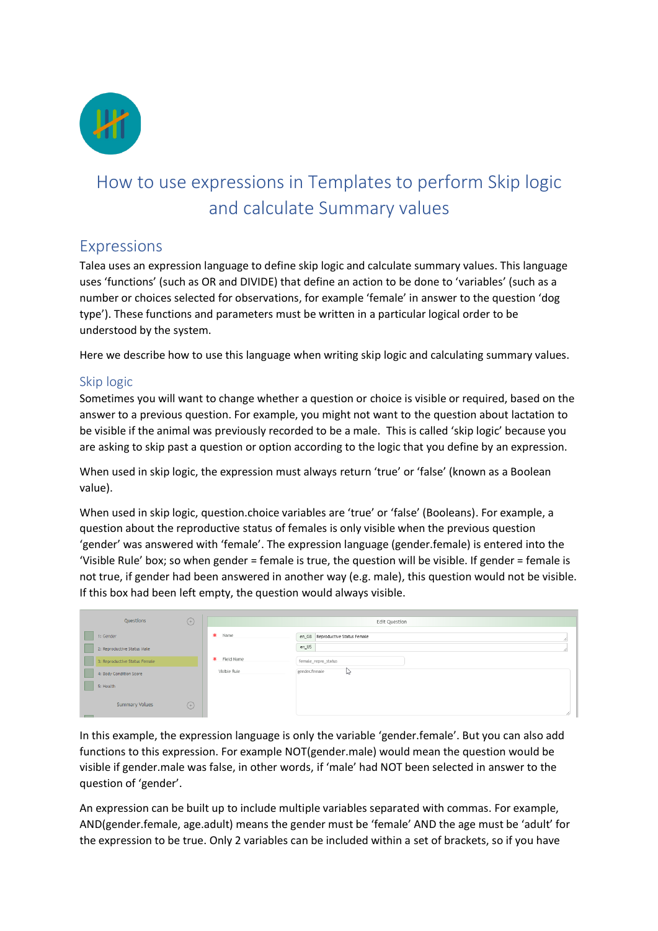

# How to use expressions in Templates to perform Skip logic and calculate Summary values

## Expressions

Talea uses an expression language to define skip logic and calculate summary values. This language uses 'functions' (such as OR and DIVIDE) that define an action to be done to 'variables' (such as a number or choices selected for observations, for example 'female' in answer to the question 'dog type'). These functions and parameters must be written in a particular logical order to be understood by the system.

Here we describe how to use this language when writing skip logic and calculating summary values.

## Skip logic

Sometimes you will want to change whether a question or choice is visible or required, based on the answer to a previous question. For example, you might not want to the question about lactation to be visible if the animal was previously recorded to be a male. This is called 'skip logic' because you are asking to skip past a question or option according to the logic that you define by an expression.

When used in skip logic, the expression must always return 'true' or 'false' (known as a Boolean value).

When used in skip logic, question.choice variables are 'true' or 'false' (Booleans). For example, a question about the reproductive status of females is only visible when the previous question 'gender' was answered with 'female'. The expression language (gender.female) is entered into the 'Visible Rule' box; so when gender = female is true, the question will be visible. If gender = female is not true, if gender had been answered in another way (e.g. male), this question would not be visible. If this box had been left empty, the question would always visible.

| $\bigoplus$<br>Questions                                     |              | Edit Question                             |
|--------------------------------------------------------------|--------------|-------------------------------------------|
| 1: Gender                                                    | * Name       | en_GB Reproductive Status Female<br>en_US |
| 2: Reproductive Status Male<br>3: Reproductive Status Female | * Field Name | female_repro_status                       |
| 4: Body Condition Score                                      | Visible Rule | gender.female<br>hì                       |
| 5: Health<br>$\binom{+}{+}$<br><b>Summary Values</b>         |              | n                                         |

In this example, the expression language is only the variable 'gender.female'. But you can also add functions to this expression. For example NOT(gender.male) would mean the question would be visible if gender.male was false, in other words, if 'male' had NOT been selected in answer to the question of 'gender'.

An expression can be built up to include multiple variables separated with commas. For example, AND(gender.female, age.adult) means the gender must be 'female' AND the age must be 'adult' for the expression to be true. Only 2 variables can be included within a set of brackets, so if you have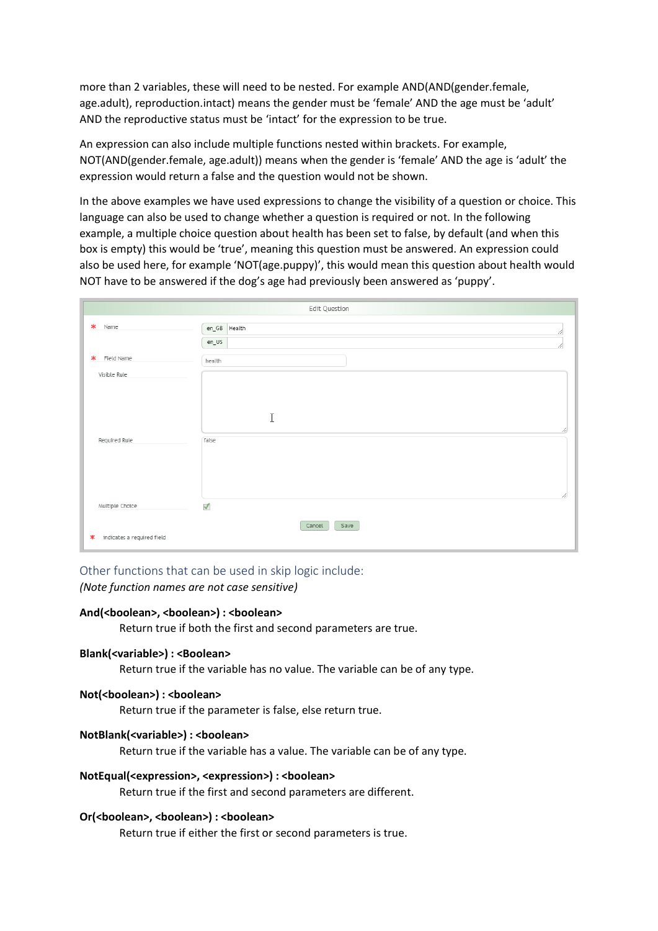more than 2 variables, these will need to be nested. For example AND(AND(gender.female, age.adult), reproduction.intact) means the gender must be 'female' AND the age must be 'adult' AND the reproductive status must be 'intact' for the expression to be true.

An expression can also include multiple functions nested within brackets. For example, NOT(AND(gender.female, age.adult)) means when the gender is 'female' AND the age is 'adult' the expression would return a false and the question would not be shown.

In the above examples we have used expressions to change the visibility of a question or choice. This language can also be used to change whether a question is required or not. In the following example, a multiple choice question about health has been set to false, by default (and when this box is empty) this would be 'true', meaning this question must be answered. An expression could also be used here, for example 'NOT(age.puppy)', this would mean this question about health would NOT have to be answered if the dog's age had previously been answered as 'puppy'.

| Edit Question                        |                                |         |  |  |
|--------------------------------------|--------------------------------|---------|--|--|
| $\ast$<br>Name                       | en_GB Health                   |         |  |  |
|                                      | en_US                          |         |  |  |
| $\ast$<br>Field Name                 | health                         |         |  |  |
| Visible Rule                         | I                              |         |  |  |
| Required Rule                        | false                          | n.<br>6 |  |  |
| Multiple Choice                      | $\checkmark$<br>Save<br>Cancel |         |  |  |
| indicates a required field<br>$\ast$ |                                |         |  |  |

## Other functions that can be used in skip logic include:

*(Note function names are not case sensitive)*

#### **And(<boolean>, <boolean>) : <boolean>**

Return true if both the first and second parameters are true.

## **Blank(<variable>) : <Boolean>**

Return true if the variable has no value. The variable can be of any type.

## **Not(<boolean>) : <boolean>**

Return true if the parameter is false, else return true.

## **NotBlank(<variable>) : <boolean>**

Return true if the variable has a value. The variable can be of any type.

## **NotEqual(<expression>, <expression>) : <boolean>**

Return true if the first and second parameters are different.

## **Or(<boolean>, <boolean>) : <boolean>**

Return true if either the first or second parameters is true.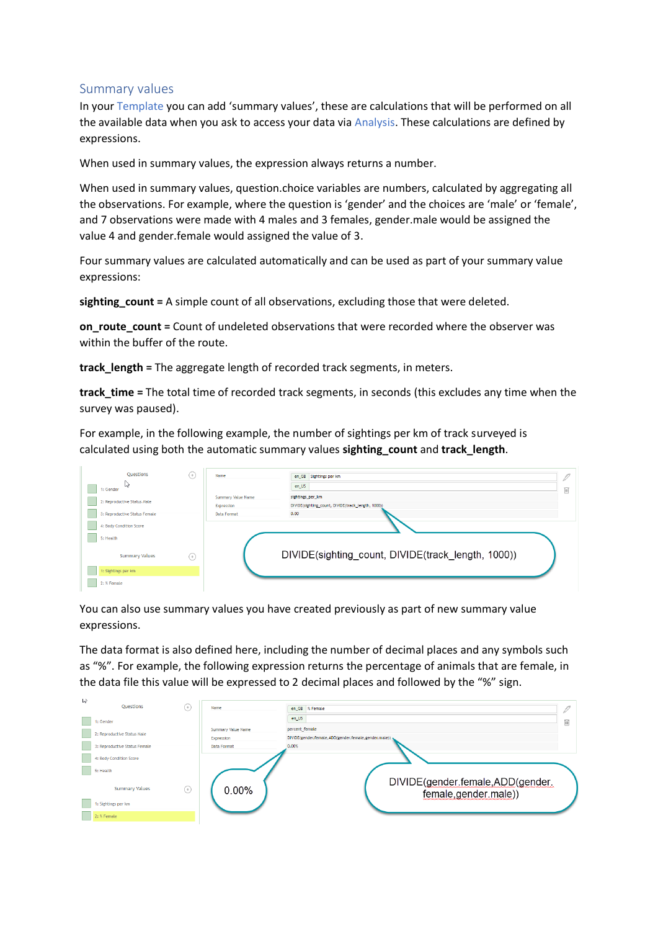## Summary values

In your Template you can add 'summary values', these are calculations that will be performed on all the available data when you ask to access your data via Analysis. These calculations are defined by expressions.

When used in summary values, the expression always returns a number.

When used in summary values, question.choice variables are numbers, calculated by aggregating all the observations. For example, where the question is 'gender' and the choices are 'male' or 'female', and 7 observations were made with 4 males and 3 females, gender.male would be assigned the value 4 and gender.female would assigned the value of 3.

Four summary values are calculated automatically and can be used as part of your summary value expressions:

**sighting\_count =** A simple count of all observations, excluding those that were deleted.

**on\_route\_count =** Count of undeleted observations that were recorded where the observer was within the buffer of the route.

**track\_length =** The aggregate length of recorded track segments, in meters.

**track\_time =** The total time of recorded track segments, in seconds (this excludes any time when the survey was paused).

For example, in the following example, the number of sightings per km of track surveyed is calculated using both the automatic summary values **sighting\_count** and **track\_length**.

| Questions<br>$+$<br>↳<br>1: Gender<br>2: Reproductive Status Male<br>3: Reproductive Status Female<br>4: Body Condition Score | Name<br>Summary Value Name<br>Expression<br>Data Format | en_GB Sightings per km<br>en_US<br>sightings_per_km<br>DIVIDE(sighting_count, DIVIDE(track_length, 1000))<br>0.00 |  |
|-------------------------------------------------------------------------------------------------------------------------------|---------------------------------------------------------|-------------------------------------------------------------------------------------------------------------------|--|
| 5: Health<br><b>Summary Values</b><br>$(+)$<br>1: Sightings per km<br>2: % Female                                             |                                                         | DIVIDE(sighting_count, DIVIDE(track_length, 1000))                                                                |  |

You can also use summary values you have created previously as part of new summary value expressions.

The data format is also defined here, including the number of decimal places and any symbols such as "%". For example, the following expression returns the percentage of animals that are female, in the data file this value will be expressed to 2 decimal places and followed by the "%" sign.